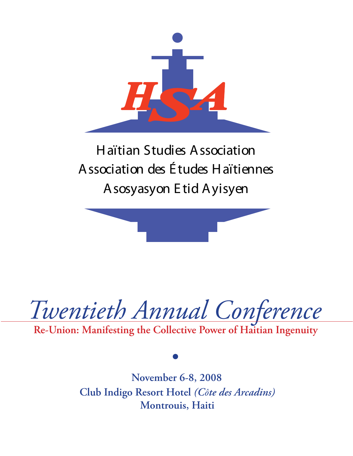

# H aïtian Studies A ssociation A ssociation des É tudes H aïtiennes A sosyasyon E tid A yisyen



*Twentieth Annual Conference*

**Re-Union: Manifesting the Collective Power of Haitian Ingenuity**

**November 6-8, 2008 Club Indigo Resort Hotel** *(Côte des Arcadins)* **Montrouis, Haiti**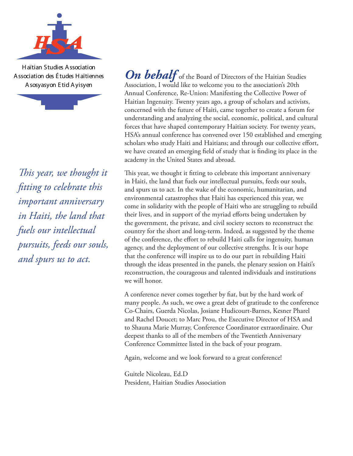

H aïtian Studies A ssociation A ssociation des É tudes H aïtiennes A sosyasyon E tid A yisyen



*This year, we thought it fitting to celebrate this important anniversary in Haiti, the land that fuels our intellectual pursuits, feeds our souls, and spurs us to act.*

**On behalf** of the Board of Directors of the Haitian Studies Association, I would like to welcome you to the association's 20th Annual Conference, Re-Union: Manifesting the Collective Power of Haitian Ingenuity. Twenty years ago, a group of scholars and activists, concerned with the future of Haiti, came together to create a forum for understanding and analyzing the social, economic, political, and cultural forces that have shaped contemporary Haitian society. For twenty years, HSA's annual conference has convened over 150 established and emerging scholars who study Haiti and Haitians; and through our collective effort, we have created an emerging field of study that is finding its place in the academy in the United States and abroad.

This year, we thought it fitting to celebrate this important anniversary in Haiti, the land that fuels our intellectual pursuits, feeds our souls, and spurs us to act. In the wake of the economic, humanitarian, and environmental catastrophes that Haiti has experienced this year, we come in solidarity with the people of Haiti who are struggling to rebuild their lives, and in support of the myriad efforts being undertaken by the government, the private, and civil society sectors to reconstruct the country for the short and long-term. Indeed, as suggested by the theme of the conference, the effort to rebuild Haiti calls for ingenuity, human agency, and the deployment of our collective strengths. It is our hope that the conference will inspire us to do our part in rebuilding Haiti through the ideas presented in the panels, the plenary session on Haiti's reconstruction, the courageous and talented individuals and institutions we will honor.

A conference never comes together by fiat, but by the hard work of many people. As such, we owe a great debt of gratitude to the conference Co-Chairs, Guerda Nicolas, Josiane Hudicourt-Barnes, Kesner Pharel and Rachel Doucet; to Marc Prou, the Executive Director of HSA and to Shauna Marie Murray, Conference Coordinator extraordinaire. Our deepest thanks to all of the members of the Twentieth Anniversary Conference Committee listed in the back of your program.

Again, welcome and we look forward to a great conference!

Guitele Nicoleau, Ed.D President, Haitian Studies Association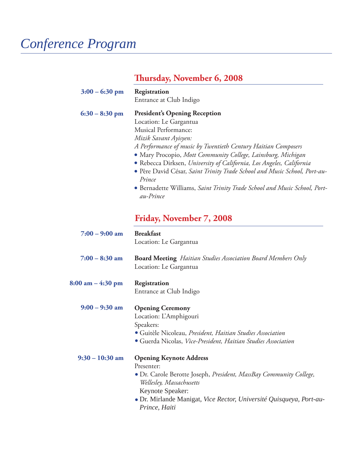# *Conference Program*

# **Thursday, November 6, 2008**

| $3:00 - 6:30$ pm                    | Registration<br>Entrance at Club Indigo                                                                                                                                                                                                                                                                                                                                                                                                                                                                   |
|-------------------------------------|-----------------------------------------------------------------------------------------------------------------------------------------------------------------------------------------------------------------------------------------------------------------------------------------------------------------------------------------------------------------------------------------------------------------------------------------------------------------------------------------------------------|
| $6:30 - 8:30$ pm                    | <b>President's Opening Reception</b><br>Location: Le Gargantua<br>Musical Performance:<br>Mizik Savant Ayisyen:<br>A Performance of music by Twentieth Century Haitian Composers<br>• Mary Procopio, Mott Community College, Lainsburg, Michigan<br>• Rebecca Dirksen, University of California, Los Angeles, California<br>• Père David César, Saint Trinity Trade School and Music School, Port-au-<br>Prince<br>• Bernadette Williams, Saint Trinity Trade School and Music School, Port-<br>au-Prince |
|                                     | Friday, November 7, 2008                                                                                                                                                                                                                                                                                                                                                                                                                                                                                  |
| $7:00 - 9:00$ am                    | <b>Breakfast</b><br>Location: Le Gargantua                                                                                                                                                                                                                                                                                                                                                                                                                                                                |
| $7:00 - 8:30$ am                    | <b>Board Meeting</b> Haitian Studies Association Board Members Only<br>Location: Le Gargantua                                                                                                                                                                                                                                                                                                                                                                                                             |
| $8:00 \text{ am} - 4:30 \text{ pm}$ | Registration<br>Entrance at Club Indigo                                                                                                                                                                                                                                                                                                                                                                                                                                                                   |
| $9:00 - 9:30$ am                    | <b>Opening Ceremony</b><br>Location: L'Amphigouri<br>Speakers:<br>· Guitèle Nicoleau, President, Haitian Studies Association<br>• Guerda Nicolas, Vice-President, Haitian Studies Association                                                                                                                                                                                                                                                                                                             |
| $9:30 - 10:30$ am                   | <b>Opening Keynote Address</b><br>Presenter:<br>• Dr. Carole Berotte Joseph, President, MassBay Community College,<br>Wellesley, Massachusetts<br>Keynote Speaker:<br>· Dr. Mirlande Manigat, Vice Rector, Université Quisqueya, Port-au-<br>Prince, Haiti                                                                                                                                                                                                                                                |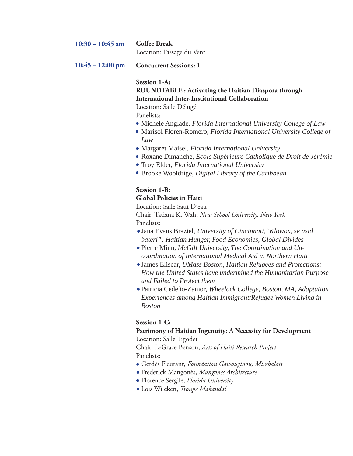| $10:30 - 10:45$ am Coffee Break |                           |
|---------------------------------|---------------------------|
|                                 | Location: Passage du Vent |

**Concurrent Sessions: 1 10:45 – 12:00 pm**

#### **Session 1-A:**

#### **ROUNDTABLE : Activating the Haitian Diaspora through International Inter-Institutional Collaboration**

Location: Salle Délugé

Panelists:

- Michele Anglade, *Florida International University College of Law*
- Marisol Floren-Romero, *Florida International University College of Law*
- Margaret Maisel, *Florida International University*
- Roxane Dimanche, *Ecole Supérieure Catholique de Droit de Jérémie*
- Troy Elder, *Florida International University*
- Brooke Wooldrige, *Digital Library of the Caribbean*

## **Session 1-B:**

## **Global Policies in Haiti**

Location: Salle Saut D'eau Chair: Tatiana K. Wah, *New School University, New York*

Panelists:

- Jana Evans Braziel, *University of Cincinnati,"Klowox, se asid bateri": Haitian Hunger, Food Economies, Global Divides*
- Pierre Minn, *McGill University, The Coordination and Uncoordination of International Medical Aid in Northern Haiti*
- James Eliscar, *UMass Boston, Haitian Refugees and Protections: How the United States have undermined the Humanitarian Purpose and Failed to Protect them*
- Patricia Cedeño-Zamor, *Wheelock College, Boston, MA, Adaptation Experiences among Haitian Immigrant/Refugee Women Living in Boston*

### **Session 1-C:**

## **Patrimony of Haitian Ingenuity: A Necessity for Development**

Location: Salle Tigodet

Chair: LeGrace Benson, *Arts of Haiti Research Project* Panelists:

- Gerdès Fleurant, *Foundation Gawouginou, Mirebalais*
- Frederick Mangonès, *Mangones Architecture*
- Florence Sergile, *Florida University*
- Lois Wilcken, *Troupe Makandal*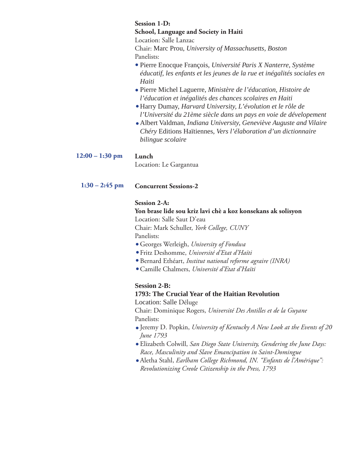#### **Session 1-D:**

#### **School, Language and Society in Haiti**

Location: Salle Lanzac

Chair: Marc Prou, *University of Massachusetts, Boston* Panelists:

- Pierre Enocque François, *Université Paris X Nanterre, Système éducatif, les enfants et les jeunes de la rue et inégalités sociales en Haiti*
- Pierre Michel Laguerre, *Ministère de l'éducation, Histoire de l'éducation et inégalités des chances scolaires en Haiti*
- Harry Dumay, *Harvard University, L'évolution et le rôle de l'Université du 21ème siècle dans un pays en voie de dévelopement*
- Albert Valdman, *Indiana University, Geneviève Auguste and Vilaire Chéry* Editions Haïtiennes, *Vers l'élaboration d'un dictionnaire bilingue scolaire*

#### **Lunch 12:00 – 1:30 pm**

Location: Le Gargantua

#### **Concurrent Sessions-2 1:30 – 2:45 pm**

#### **Session 2-A:**

### **Yon brase lide sou kriz lavi chè a koz konsekans ak solisyon** Location: Salle Saut D'eau Chair: Mark Schuller, *York College, CUNY*

Panelists:

- Georges Werleigh, *University of Fondwa*
- Fritz Deshomme, *Université d'Etat d'Haïti*
- Bernard Ethéart, *Institut national reforme agraire (INRA)*
- Camille Chalmers, *Université d'Etat d'Haïti*

### **Session 2-B:**

### **1793: The Crucial Year of the Haitian Revolution**

Location: Salle Déluge

Chair: Dominique Rogers, *Université Des Antilles et de la Guyane* Panelists:

- Jeremy D. Popkin, *University of Kentucky A New Look at the Events of 20 June 1793*
- Elizabeth Colwill, *San Diego State University, Gendering the June Days: Race, Masculinity and Slave Emancipation in Saint-Domingue*
- Aletha Stahl, *Earlham College Richmond, IN. "Enfants de l'Amérique": Revolutionizing Creole Citizenship in the Press, 1793*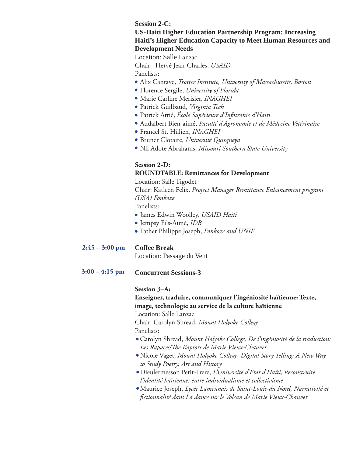**Session 2-C:** 

#### **US-Haiti Higher Education Partnership Program: Increasing Haiti's Higher Education Capacity to Meet Human Resources and Development Needs**

Location: Salle Lanzac

Chair: Hervé Jean-Charles, *USAID*

Panelists:

- Alix Cantave, *Trotter Institute, University of Massachusetts, Boston*
- Florence Sergile, *University of Florida*
- Marie Carline Merisier, *INAGHEI*
- Patrick Guilbaud, *Virginia Tech*
- Patrick Attié, *École Supérieure d'Infotronic d'Haiti*
- Audalbert Bien-aimé, *Faculté d'Agronomie et de Médecine Vétérinaire*
- Francel St. Hillien, *INAGHEI*
- Bruner Clotaire, *Université Quisqueya*
- Nii Adote Abrahams, *Missouri Southern State University*

### **Session 2-D: ROUNDTABLE: Remittances for Development**

Location: Salle Tigodet

Chair: Katleen Felix, *Project Manager Remittance Enhancement program (USA) Fonkoze*

Panelists:

- James Edwin Woolley, *USAID Haiti*
- Jempsy Fils-Aimé, *IDB*
- Father Philippe Joseph, *Fonkoze and UNIF*

#### **Coffee Break 2:45 – 3:00 pm**

Location: Passage du Vent

**Concurrent Sessions-3 3:00 – 4:15 pm**

#### **Session 3–A:**

**Enseigner, traduire, communiquer l'ingéniosité haïtienne: Texte, image, technologie au service de la culture haïtienne**

Location: Salle Lanzac

Chair: Carolyn Shread, *Mount Holyoke College* Panelists:

- Carolyn Shread, *Mount Holyoke College, De l'ingéniosité de la traduction: Les Rapaces/The Raptors de Marie Vieux-Chauvet*
- Nicole Vaget, *Mount Holyoke College, Digital Story Telling: A New Way to Study Poetry, Art and History*
- Dieulermesson Petit-Frère, *L'Université d'Etat d'Haïti, Reconstruire l'identité haïtienne: entre individualisme et collectivisme*
- Maurice Joseph, *Lycée Lamennais de Saint-Louis-du Nord, Narrativité et fictionnalité dans La dance sur le Volcan de Marie Vieux-Chauvet*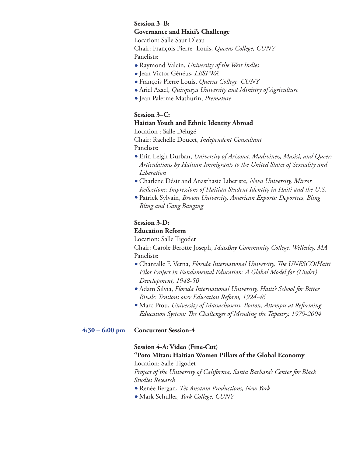#### **Session 3–B:**

#### **Governance and Haiti's Challenge**

Location: Salle Saut D'eau

Chair: François Pierre- Louis, *Queens College, CUNY* Panelists:

- Raymond Valcin, *University of the West Indies*
- Jean Victor Généus, *LESPWA*
- François Pierre Louis, *Queens College, CUNY*
- Ariel Azael, *Quisqueya University and Ministry of Agriculture*
- Jean Palerme Mathurin, *Premature*

### **Session 3–C:**

#### **Haitian Youth and Ethnic Identity Abroad**

Location : Salle Délugé Chair: Rachelle Doucet, *Independent Consultant*  Panelists:

- Erin Leigh Durban, *University of Arizona, Madivinez, Masisi, and Queer: Articulations by Haitian Immigrants to the United States of Sexuality and Liberation*
- Charlene Désir and Anasthasie Liberiste, *Nova University, Mirror Reflections: Impressions of Haitian Student Identity in Haiti and the U.S.*
- Patrick Sylvain, *Brown University, American Exports: Deportees, Bling Bling and Gang Banging*

### **Session 3-D:**

### **Education Reform**

Location: Salle Tigodet

Chair: Carole Berotte Joseph, *MassBay Community College, Wellesley, MA* Panelists:

- Chantalle F. Verna, *Florida International University, The UNESCO/Haiti Pilot Project in Fundamental Education: A Global Model for (Under) Development, 1948-50*
- Adam Silvia, *Florida International University, Haiti's School for Bitter Rivals: Tensions over Education Reform, 1924-46*
- Marc Prou, *University of Massachusetts, Boston, Attempts at Reforming Education System: The Challenges of Mending the Tapestry, 1979-2004*

#### **Concurrent Session-4 4:30 – 6:00 pm**

### **Session 4-A: Video (Fine-Cut)**

#### **"Poto Mitan: Haitian Women Pillars of the Global Economy** Location: Salle Tigodet

*Project of the University of California, Santa Barbara's Center for Black Studies Research* 

- Renée Bergan, *Tèt Ansanm Productions, New York*
- Mark Schuller, *York College, CUNY*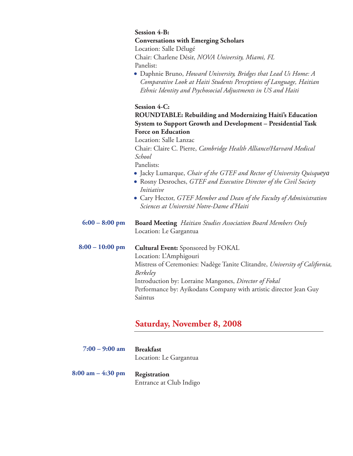## **Session 4-B:**

**Conversations with Emerging Scholars**

Location: Salle Délugé Chair: Charlene Désir, *NOVA University, Miami, FL* Panelist:

Daphnie Bruno, *Howard University, Bridges that Lead Us Home: A Comparative Look at Haiti Students Perceptions of Language, Haitian Ethnic Identity and Psychosocial Adjustments in US and Haiti*

### **Session 4-C:**

**ROUNDTABLE: Rebuilding and Modernizing Haiti's Education System to Support Growth and Development – Presidential Task Force on Education**

Location: Salle Lanzac

Chair: Claire C. Pierre, *Cambridge Health Alliance/Harvard Medical School*

Panelists:

- Jacky Lumarque, *Chair of the GTEF and Rector of University Quisqueya*
- Rosny Desroches, *GTEF and Executive Director of the Civil Society Initiative*
- Cary Hector, *GTEF Member and Dean of the Faculty of Administration Sciences at Université Notre-Dame d'Haiti*

**Board Meeting** *Haitian Studies Association Board Members Only* Location: Le Gargantua **6:00 – 8:00 pm**

**Cultural Event:** Sponsored by FOKAL Location: L'Amphigouri Mistress of Ceremonies: Nadège Tanite Clitandre, *University of California, Berkeley* Introduction by: Lorraine Mangones, *Director of Fokal* Performance by: Ayikodans Company with artistic director Jean Guy Saintus **8:00 – 10:00 pm**

## **Saturday, November 8, 2008**

| $7:00 - 9:00$ am | Breakfast              |
|------------------|------------------------|
|                  | Location: Le Gargantua |

**Registration** Entrance at Club Indigo **8:00 am – 4:30 pm**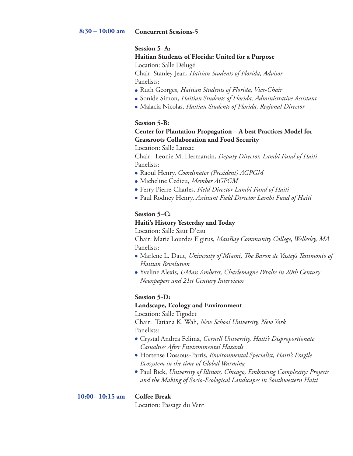#### **Session 5–A:**

**Haitian Students of Florida: United for a Purpose**

Location: Salle Délugé

Chair: Stanley Jean, *Haitian Students of Florida, Advisor* Panelists:

- Ruth Georges, *Haitian Students of Florida, Vice-Chair*
- Sonide Simon, *Haitian Students of Florida, Administrative Assistant*
- Malacia Nicolas, *Haitian Students of Florida, Regional Director*

#### **Session 5-B:**

### **Center for Plantation Propagation – A best Practices Model for Grassroots Collaboration and Food Security**

Location: Salle Lanzac

Chair: Leonie M. Hermantin, *Deputy Director, Lambi Fund of Haiti* Panelists:

- Raoul Henry, *Coordinator (President) AGPGM*
- Micheline Cedieu, *Member AGPGM*
- Ferry Pierre-Charles, *Field Director Lambi Fund of Haiti*
- Paul Rodney Henry, *Assistant Field Director Lambi Fund of Haiti*

### **Session 5–C:**

#### **Haiti's History Yesterday and Today**

Location: Salle Saut D'eau

Chair: Marie Lourdes Elgirus, *MassBay Community College, Wellesley, MA* Panelists:

- Marlene L. Daut, *University of Miami, The Baron de Vastey's Testimonio of Haitian Revolution*
- Yveline Alexis, *UMass Amherst, Charlemagne Péralte in 20th Century Newspapers and 21st Century Interviews*

#### **Session 5-D:**

#### **Landscape, Ecology and Environment**

Location: Salle Tigodet Chair: Tatiana K. Wah, *New School University, New York* Panelists:

- Crystal Andrea Felima, *Cornell University, Haiti's Disproportionate Casualties After Environmental Hazards*
- Hortense Dossous-Parris, *Environmental Specialist, Haiti's Fragile Ecosystem in the time of Global Warming*
- Paul Bick, *University of Illinois, Chicago, Embracing Complexity: Projects and the Making of Socio-Ecological Landscapes in Southwestern Haiti*

#### **10:00– 10:15 am**

#### **Coffee Break**

Location: Passage du Vent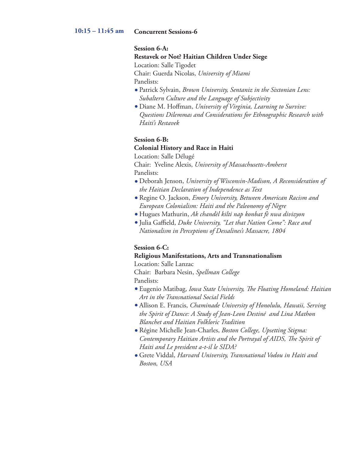#### **Concurrent Sessions-6 10:15 – 11:45 am**

#### **Session 6-A:**

**Restavek or Not? Haitian Children Under Siege**

Location: Salle Tigodet

Chair: Guerda Nicolas, *University of Miami*

Panelists:

- Patrick Sylvain, *Brown University, Sentaniz in the Sixtonian Lens: Subaltern Culture and the Language of Subjectivity*
- Diane M. Hoffman, *University of Virginia, Learning to Survive: Questions Dilemmas and Considerations for Ethnographic Research with Haiti's Restavek*

#### **Session 6-B:**

#### **Colonial History and Race in Haiti**

Location: Salle Délugé

Chair: Yveline Alexis, *University of Massachusetts-Amherst* Panelists:

- Deborah Jenson, *University of Wisconsin-Madison, A Reconsideration of the Haitian Declaration of Independence as Text*
- Regine O. Jackson, *Emory University, Between American Racism and European Colonialism: Haiti and the Paleonomy of Nègre*
- Hugues Mathurin, *Ak chandèl kilti nap konbat fè nwa divizyon*
- Julia Gaffield, *Duke University, "Let that Nation Come": Race and Nationalism in Perceptions of Dessalines's Massacre, 1804*

#### **Session 6-C:**

## **Religious Manifestations, Arts and Transnationalism**

Location: Salle Lanzac

Chair: Barbara Nesin, *Spellman College* Panelists:

- Eugenio Matibag, *Iowa State University, The Floating Homeland: Haitian Art in the Transnational Social Fields*
- Allison E. Francis, *Chaminade University of Honolulu, Hawaii, Serving the Spirit of Dance: A Study of Jean-Leon Destiné and Lina Mathon Blanchet and Haitian Folkloric Tradition*
- Régine Michelle Jean-Charles, *Boston College, Upsetting Stigma: Contemporary Haitian Artists and the Portrayal of AIDS, The Spirit of Haiti and Le president a-t-il le SIDA?*
- Grete Viddal, *Harvard University, Transnational Vodou in Haiti and Boston, USA*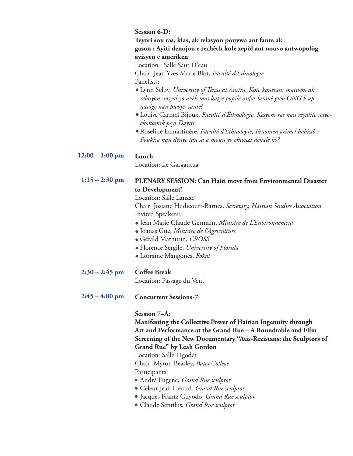#### **Session 6-D:**

**Teyori sou ras, klas, ak relasyon pouvwa ant fanm ak gason : Ayiti denojou e rechèch kole zepòl ant nouvo antwopològ ayisyen e ameriken**

Location : Salle Saut D'eau

Chair: Jean Yves Marie Blot, *Faculté d'Éthnologie*

Panelists:

- Lynn Selby, *University of Texas at Austin, Kote konesans matwòn ak relasyon sosyal yo avèk mas katye popilè anfas lanmè gwo ONG k ap navige nan pwoje sante?*
- Louise Carmel Bijoux, *Faculté d'Éthnologie, Kesyons ras nan reyalite sosyoekonomik peyi Dayiti*
- Roseline Lamartinère, *Faculté d'Éthnologie, Fenomèn grimel bobistò : Poukisa nan dènye tan sa a moun yo chwazi dekale kò?*

#### **Lunch 12:00 – 1:00 pm**

Location: Le Gargantua

#### **PLENARY SESSION: Can Haiti move from Environmental Disaster to Development? 1:15 – 2:30 pm**

Location: Salle Lanzac Chair: Josiane Hudicourt-Barnes, *Secretary, Haitian Studies Association* Invited Speakers:

- Jean Marie Claude Germain, *Ministre de L'Environnement*
- Joanas Gue, *Ministre de l'Agriculture*
- Gérald Mathurin, *CROSS*
- Florence Sergile, *University of Florida*
- Lorraine Mangones, *Fokal*

#### **Coffee Break 2:30 – 2:45 pm**

Location: Passage du Vent

#### **Concurrent Sessions-7 2:45 – 4:00 pm**

**Session 7–A:** 

**Manifesting the Collective Power of Haitian Ingenuity through Art and Performance at the Grand Rue – A Roundtable and Film Screening of the New Documentary "Atis-Rezistans: the Sculptors of Grand Rue" by Leah Gordon**

Location: Salle Tigodet

Chair: Myron Beasley, *Bates College*

#### Participants:

- André Eugene, *Grand Rue sculptor*
- Celeur Jean Hérard. *Grand Rue sculptor*
- Jacques Frantz Guyodo, *Grand Rue sculptor*
- Claude Sentilus, *Grand Rue sculptor*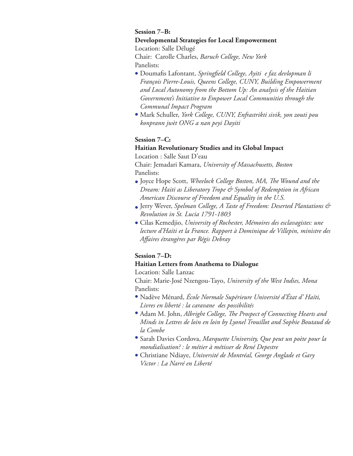#### **Session 7–B: Developmental Strategies for Local Empowerment**

Location: Salle Délugé

Chair: Carolle Charles, *Baruch College, New York* Panelists:

- Doumafis Lafontant, *Springfield College, Ayiti e faz devlopman li François Pierre-Louis, Queens College, CUNY, Building Empowerment and Local Autonomy from the Bottom Up: An analysis of the Haitian Government's Initiative to Empower Local Communities through the Communal Impact Program*
- Mark Schuller, *York College, CUNY, Enfrastrikti sivik, yon zouti pou konprann jwèt ONG a nan peyi Dayiti*

### **Session 7–C:**

### **Haitian Revolutionary Studies and its Global Impact**

Location : Salle Saut D'eau

Chair: Jemadari Kamara, *University of Massachusetts, Boston* Panelists:

- Joyce Hope Scott, *Wheelock College Boston, MA, The Wound and the Dream: Haiti as Liberatory Trope & Symbol of Redemption in African American Discourse of Freedom and Equality in the U.S.*
- Jerry Wever, *Spelman College, A Taste of Freedom: Deserted Plantations & Revolution in St. Lucia 1791-1803*
- Cilas Kemedjio, *University of Rochester, Mémoires des esclavagistes: une lecture d'Haïti et la France. Rapport à Dominique de Villepin, ministre des Affaires étrangères par Régis Debray*

## **Session 7–D:**

### **Haitian Letters from Anathema to Dialogue**

Location: Salle Lanzac

Chair: Marie-José Nzengou-Tayo, *University of the West Indies, Mona* Panelists:

- Nadève Ménard, *École Normale Supérieure Université d'État d' Haïti, Livres en liberté : la caravane des possibilités*
- Adam M. John, *Albright College, The Prospect of Connecting Hearts and Minds in Lettres de loin en loin by Lyonel Trouillot and Sophie Boutaud de la Combe*
- Sarah Davies Cordova, *Marquette University, Que peut un poète pour la mondialisation? : le métier à métisser de René Depestre*
- Christiane Ndiaye, *Université de Montréal, George Anglade et Gary Victor : La Narré en Liberté*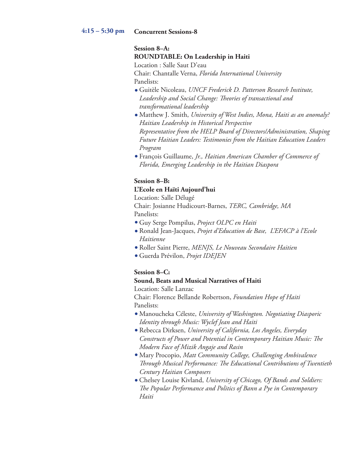#### **Concurrent Sessions-8 4:15 – 5:30 pm**

## **Session 8–A: ROUNDTABLE: On Leadership in Haiti**

Location : Salle Saut D'eau Chair: Chantalle Verna, *Florida International University* Panelists:

- Guitèle Nicoleau, *UNCF Frederick D. Patterson Research Institute, Leadership and Social Change: Theories of transactional and transformational leadership*
- Matthew J. Smith, *University of West Indies, Mona, Haiti as an anomaly? Haitian Leadership in Historical Perspective Representative from the HELP Board of Directors/Administration, Shaping Future Haitian Leaders: Testimonies from the Haitian Education Leaders Program*
- François Guillaume, *Jr., Haitian American Chamber of Commerce of Florida, Emerging Leadership in the Haitian Diaspora*

### **Session 8–B:**

#### **L'Ecole en Haïti Aujourd'hui**

Location: Salle Délugé Chair: Josianne Hudicourt-Barnes, *TERC, Cambridge, MA* Panelists:

- Guy Serge Pompilus, *Project OLPC en Haiti*
- Ronald Jean-Jacques, *Projet d'Education de Base, L'EFACP à l'Ecole Haitienne*
- Roller Saint Pierre, *MENJS, Le Nouveau Secondaire Haitien*
- Guerda Prévilon, *Projet IDEJEN*

### **Session 8–C:**

#### **Sound, Beats and Musical Narratives of Haiti**

Location: Salle Lanzac

Chair: Florence Bellande Robertson, *Foundation Hope of Haiti*  Panelists:

- Manoucheka Céleste, *University of Washington. Negotiating Diasporic Identity through Music: Wyclef Jean and Haiti*
- Rebecca Dirksen, *University of California, Los Angeles, Everyday Constructs of Power and Potential in Contemporary Haitian Music: The Modern Face of Mizik Angaje and Rasin*
- Mary Procopio, *Matt Community College, Challenging Ambivalence Through Musical Performance: The Educational Contributions of Twentieth Century Haitian Composers*
- Chelsey Louise Kivland, *University of Chicago, Of Bands and Soldiers: The Popular Performance and Politics of Bann a Pye in Contemporary Haiti*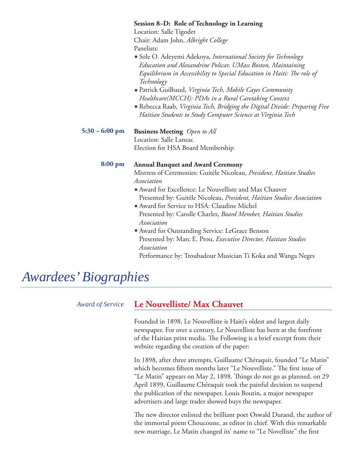|                | Session 8–D: Role of Technology in Learning                                                                                     |
|----------------|---------------------------------------------------------------------------------------------------------------------------------|
|                | Location: Salle Tigodet                                                                                                         |
|                | Chair: Adam John, Albright College                                                                                              |
|                | Panelists:                                                                                                                      |
|                | · Sole O. Adeyemi Adekoya, International Society for Technology<br>Education and Alexandrine Policar, UMass Boston, Maintaining |
|                | Equilibrium in Accessibility to Special Education in Haiti: The role of<br>Technology                                           |
|                | · Patrick Guilbaud, Virginia Tech, Mobile Cayes Community                                                                       |
|                | Healthcare(MCCH): PDAs in a Rural Caretaking Context                                                                            |
|                | • Rebecca Raab, Virginia Tech, Bridging the Digital Divide: Preparing Five                                                      |
|                | Haitian Students to Study Computer Science at Virginia Tech                                                                     |
| 5:30 – 6:00 pm | <b>Business Meeting</b> Open to All                                                                                             |
|                | Location: Salle Lanzac                                                                                                          |
|                | Election for HSA Board Membership                                                                                               |
| 8:00 pm        | <b>Annual Banquet and Award Ceremony</b>                                                                                        |
|                | Mistress of Ceremonies: Guitèle Nicoleau, President, Haitian Studies<br>Association                                             |
|                | • Award for Excellence: Le Nouvelliste and Max Chauvet                                                                          |
|                | Presented by: Guitèle Nicoleau, President, Haitian Studies Association                                                          |
|                | • Award for Service to HSA: Claudine Michel                                                                                     |
|                | Presented by: Carolle Charles, Board Member, Haitian Studies<br>Association                                                     |
|                |                                                                                                                                 |
|                | • Award for Outstanding Service: LeGrace Benson                                                                                 |
|                | Presented by: Marc E. Prou, <i>Executive Director</i> , <i>Haitian Studies</i><br>Association                                   |

Performance by: Troubadour Musician Ti Koka and Wanga Neges

# *Awardees' Biographies*

## *Award of Service*

## **Le Nouvelliste/ Max Chauvet**

Founded in 1898, Le Nouvelliste is Haiti's oldest and largest daily newspaper. For over a century, Le Nouvelliste has been at the forefront of the Haitian print media. The Following is a brief excerpt from their website regarding the creation of the paper:

In 1898, after three attempts, Guillaume Chéraquit, founded "Le Matin" which becomes fifteen months later "Le Nouvelliste." The first issue of "Le Matin" appears on May 2, 1898. Things do not go as planned, on 29 April 1899, Guillaume Chéraquit took the painful decision to suspend the publication of the newspaper. Louis Boutin, a major newspaper advertisers and large trader showed buys the newspaper.

The new director enlisted the brilliant poet Oswald Durand, the author of the immortal poem Choucoune, as editor in chief. With this remarkable new marriage, Le Matin changed its' name to "Le Novelliste" the first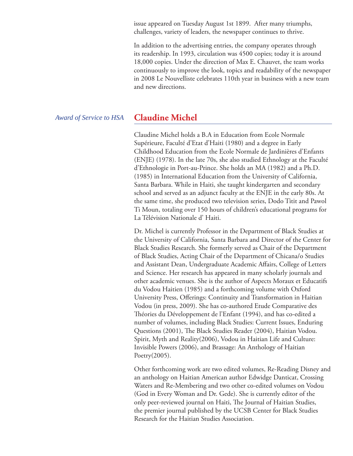issue appeared on Tuesday August 1st 1899. After many triumphs, challenges, variety of leaders, the newspaper continues to thrive.

In addition to the advertising entries, the company operates through its readership. In 1993, circulation was 4500 copies; today it is around 18,000 copies. Under the direction of Max E. Chauvet, the team works continuously to improve the look, topics and readability of the newspaper in 2008 Le Nouvelliste celebrates 110th year in business with a new team and new directions.

#### *Award of Service to HSA*

## **Claudine Michel**

Claudine Michel holds a B.A in Education from Ecole Normale Supérieure, Faculté d'Etat d'Haiti (1980) and a degree in Early Childhood Education from the Ecole Normale de Jardinières d'Enfants (ENJE) (1978). In the late 70s, she also studied Ethnology at the Faculté d'Ethnologie in Port-au-Prince. She holds an MA (1982) and a Ph.D. (1985) in International Education from the University of California, Santa Barbara. While in Haiti, she taught kindergarten and secondary school and served as an adjunct faculty at the ENJE in the early 80s. At the same time, she produced two television series, Dodo Titit and Pawol Ti Moun, totaling over 150 hours of children's educational programs for La Télévision Nationale d' Haiti.

Dr. Michel is currently Professor in the Department of Black Studies at the University of California, Santa Barbara and Director of the Center for Black Studies Research. She formerly served as Chair of the Department of Black Studies, Acting Chair of the Department of Chicana/o Studies and Assistant Dean, Undergraduate Academic Affairs, College of Letters and Science. Her research has appeared in many scholarly journals and other academic venues. She is the author of Aspects Moraux et Educatifs du Vodou Haitien (1985) and a forthcoming volume with Oxford University Press, Offerings: Continuity and Transformation in Haitian Vodou (in press, 2009). She has co-authored Etude Comparative des Théories du Développement de l'Enfant (1994), and has co-edited a number of volumes, including Black Studies: Current Issues, Enduring Questions (2001), The Black Studies Reader (2004), Haitian Vodou. Spirit, Myth and Reality(2006), Vodou in Haitian Life and Culture: Invisible Powers (2006), and Brassage: An Anthology of Haitian Poetry(2005).

Other forthcoming work are two edited volumes, Re-Reading Disney and an anthology on Haitian American author Edwidge Danticat, Crossing Waters and Re-Membering and two other co-edited volumes on Vodou (God in Every Woman and Dr. Gede). She is currently editor of the only peer-reviewed journal on Haiti, The Journal of Haitian Studies, the premier journal published by the UCSB Center for Black Studies Research for the Haitian Studies Association.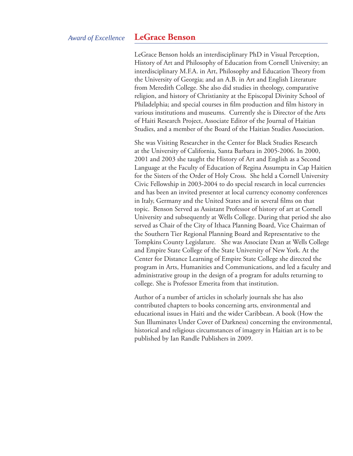#### *Award of Excellence*

#### **LeGrace Benson**

LeGrace Benson holds an interdisciplinary PhD in Visual Perception, History of Art and Philosophy of Education from Cornell University; an interdisciplinary M.F.A. in Art, Philosophy and Education Theory from the University of Georgia; and an A.B. in Art and English Literature from Meredith College. She also did studies in theology, comparative religion, and history of Christianity at the Episcopal Divinity School of Philadelphia; and special courses in film production and film history in various institutions and museums. Currently she is Director of the Arts of Haiti Research Project, Associate Editor of the Journal of Haitian Studies, and a member of the Board of the Haitian Studies Association.

She was Visiting Researcher in the Center for Black Studies Research at the University of California, Santa Barbara in 2005-2006. In 2000, 2001 and 2003 she taught the History of Art and English as a Second Language at the Faculty of Education of Regina Assumpta in Cap Haitien for the Sisters of the Order of Holy Cross. She held a Cornell University Civic Fellowship in 2003-2004 to do special research in local currencies and has been an invited presenter at local currency economy conferences in Italy, Germany and the United States and in several films on that topic. Benson Served as Assistant Professor of history of art at Cornell University and subsequently at Wells College. During that period she also served as Chair of the City of Ithaca Planning Board, Vice Chairman of the Southern Tier Regional Planning Board and Representative to the Tompkins County Legislature. She was Associate Dean at Wells College and Empire State College of the State University of New York. At the Center for Distance Learning of Empire State College she directed the program in Arts, Humanities and Communications, and led a faculty and administrative group in the design of a program for adults returning to college. She is Professor Emerita from that institution.

Author of a number of articles in scholarly journals she has also contributed chapters to books concerning arts, environmental and educational issues in Haiti and the wider Caribbean. A book (How the Sun Illuminates Under Cover of Darkness) concerning the environmental, historical and religious circumstances of imagery in Haitian art is to be published by Ian Randle Publishers in 2009.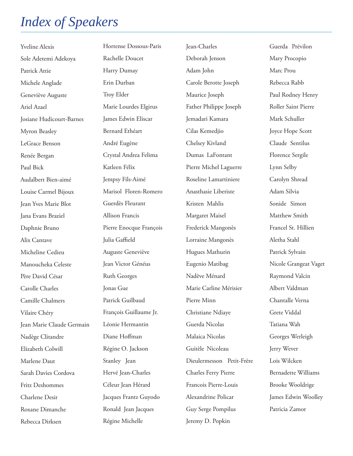# *Index of Speakers*

Yveline Alexis Sole Adetemi Adekoya Patrick Attie Michele Anglade Geneviève Auguste Ariel Azael Josiane Hudicourt-Barnes Myron Beasley LeGrace Benson Renée Bergan Paul Bick Audalbert Bien-aimé Louise Carmel Bijoux Jean Yves Marie Blot Jana Evans Braziel Daphnie Bruno Alix Cantave Micheline Cedieu Manoucheka Celeste Père David César Carolle Charles Camille Chalmers Vilaire Chéry Jean Marie Claude Germain Nadège Clitandre Elizabeth Colwill Marlene Daut Sarah Davies Cordova Fritz Deshommes Charlene Desir Roxane Dimanche Rebecca Dirksen Hortense Dossous-Paris Rachelle Doucet Harry Dumay Erin Durban Troy Elder Marie Lourdes Elgirus James Edwin Eliscar Bernard Ethéart André Eugène Crystal Andrea Felima Katleen Félix Jempsy Fils-Aimé Marisol Floren-Romero Guerdès Fleurant Allison Francis Pierre Enocque François Julia Gaffield Auguste Geneviève Jean Victor Généus Ruth Georges Jonas Gue Patrick Guilbaud François Guillaume Jr. Léonie Hermantin Diane Hoffman Régine O. Jackson Stanley Jean Hervé Jean-Charles Céleur Jean Hérard Jacques Frantz Guyodo Ronald Jean Jacques Régine Michelle Jean-Charles Deborah Jenson Adam John Carole Berotte Joseph Maurice Joseph Father Philippe Joseph Jemadari Kamara Cilas Kemedjio Chelsey Kivland Dumas LaFontant Pierre Michel Laguerre Roseline Lamartiniere Anasthasie Liberiste Kristen Mahlis Margaret Maisel Frederick Mangonès Lorraine Mangonès Hugues Mathurin Eugenio Matibag Nadève Ménard Marie Carline Mérisier Pierre Minn Christiane Ndiaye Guerda Nicolas Malaica Nicolas Guitèle Nicoleau Dieulermesson Petit-Frère Charles Ferry Pierre Francois Pierre-Louis Alexandrine Policar Guy Serge Pompilus Jeremy D. Popkin Guerda Prévilon Mary Procopio Marc Prou Rebecca Rabb Paul Rodney Henry Roller Saint Pierre Mark Schuller Joyce Hope Scott Claude Sentilus Florence Sergile Lynn Selby Carolyn Shread Adam Silvia Sonide Simon Matthew Smith Francel St. Hillien Aletha Stahl Patrick Sylvain Nicole Grangeat Vaget Raymond Valcin Albert Valdman Chantalle Verna Grete Viddal Tatiana Wah Georges Werleigh Jerry Wever Lois Wilcken Bernadette Williams Brooke Wooldrige James Edwin Woolley Patricia Zamor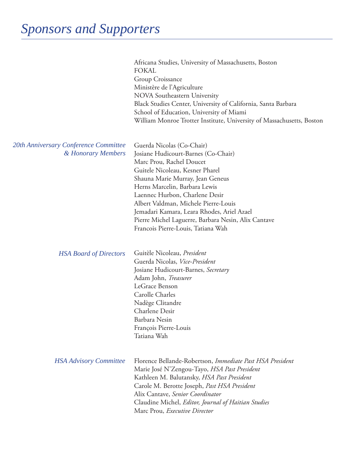|                                                             | Africana Studies, University of Massachusetts, Boston<br><b>FOKAL</b><br>Group Croissance<br>Ministère de l'Agriculture<br>NOVA Southeastern University<br>Black Studies Center, University of California, Santa Barbara<br>School of Education, University of Miami<br>William Monroe Trotter Institute, University of Massachusetts, Boston                                                                             |
|-------------------------------------------------------------|---------------------------------------------------------------------------------------------------------------------------------------------------------------------------------------------------------------------------------------------------------------------------------------------------------------------------------------------------------------------------------------------------------------------------|
| 20th Anniversary Conference Committee<br>& Honorary Members | Guerda Nicolas (Co-Chair)<br>Josiane Hudicourt-Barnes (Co-Chair)<br>Marc Prou, Rachel Doucet<br>Guitele Nicoleau, Kesner Pharel<br>Shauna Marie Murray, Jean Geneus<br>Herns Marcelin, Barbara Lewis<br>Laennec Hurbon, Charlene Desir<br>Albert Valdman, Michele Pierre-Louis<br>Jemadari Kamara, Leara Rhodes, Ariel Azael<br>Pierre Michel Laguerre, Barbara Nesin, Alix Cantave<br>Francois Pierre-Louis, Tatiana Wah |
| <b>HSA Board of Directors</b>                               | Guitèle Nicoleau, President<br>Guerda Nicolas, Vice-President<br>Josiane Hudicourt-Barnes, Secretary<br>Adam John, Treasurer<br>LeGrace Benson<br>Carolle Charles<br>Nadège Clitandre<br>Charlene Desir<br>Barbara Nesin<br>François Pierre-Louis<br>Tatiana Wah                                                                                                                                                          |
| <b>HSA Advisory Committee</b>                               | Florence Bellande-Robertson, Immediate Past HSA President<br>Marie José N'Zengou-Tayo, HSA Past President<br>Kathleen M. Balutansky, HSA Past President<br>Carole M. Berotte Joseph, Past HSA President<br>Alix Cantave, Senior Coordinator<br>Claudine Michel, Editor, Journal of Haitian Studies<br>Marc Prou, Executive Director                                                                                       |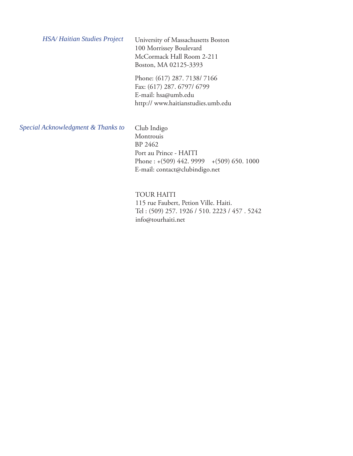University of Massachusetts Boston 100 Morrissey Boulevard McCormack Hall Room 2-211 Boston, MA 02125-3393 *HSA/ Haitian Studies Project*

> Phone: (617) 287. 7138/ 7166 Fax: (617) 287. 6797/ 6799 E-mail: hsa@umb.edu http:// www.haitianstudies.umb.edu

*Special Acknowledgment & Thanks to*

Club Indigo Montrouis BP 2462 Port au Prince - HAITI Phone : +(509) 442. 9999 +(509) 650. 1000 E-mail: contact@clubindigo.net

TOUR HAITI 115 rue Faubert, Petion Ville. Haiti. Tel : (509) 257. 1926 / 510. 2223 / 457 . 5242 info@tourhaiti.net